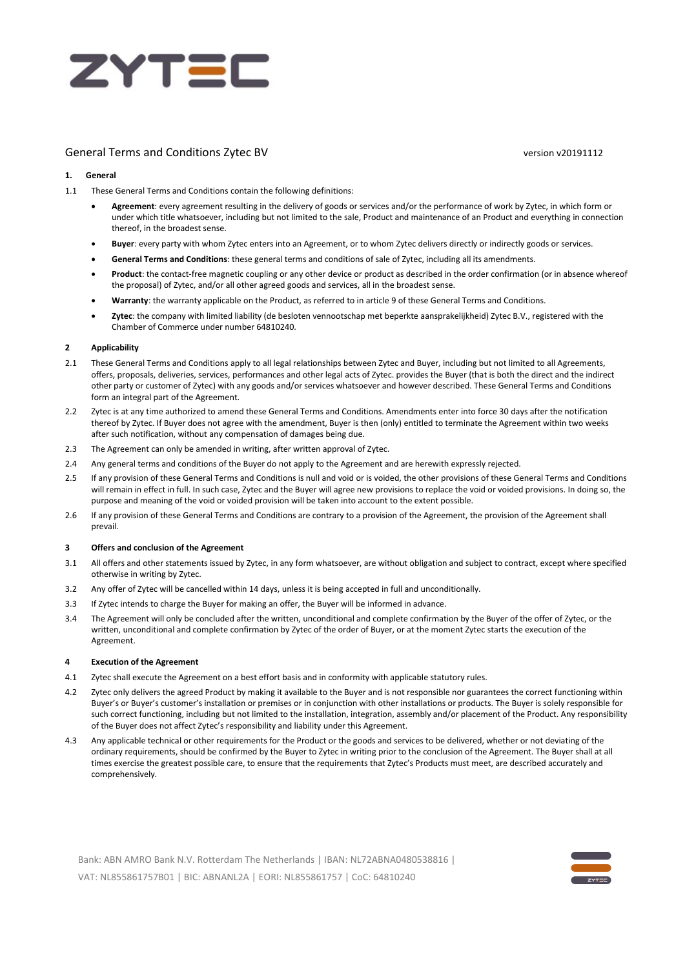

# General Terms and Conditions Zytec BV version v20191112

# **1. General**

- 1.1 These General Terms and Conditions contain the following definitions:
	- **Agreement**: every agreement resulting in the delivery of goods or services and/or the performance of work by Zytec, in which form or under which title whatsoever, including but not limited to the sale, Product and maintenance of an Product and everything in connection thereof, in the broadest sense.
	- **Buyer**: every party with whom Zytec enters into an Agreement, or to whom Zytec delivers directly or indirectly goods or services.
	- **General Terms and Conditions**: these general terms and conditions of sale of Zytec, including all its amendments.
	- **Product**: the contact-free magnetic coupling or any other device or product as described in the order confirmation (or in absence whereof the proposal) of Zytec, and/or all other agreed goods and services, all in the broadest sense.
	- **Warranty**: the warranty applicable on the Product, as referred to in article 9 of these General Terms and Conditions.
	- **Zytec**: the company with limited liability (de besloten vennootschap met beperkte aansprakelijkheid) Zytec B.V., registered with the Chamber of Commerce under number 64810240.

#### **2 Applicability**

- 2.1 These General Terms and Conditions apply to all legal relationships between Zytec and Buyer, including but not limited to all Agreements, offers, proposals, deliveries, services, performances and other legal acts of Zytec. provides the Buyer (that is both the direct and the indirect other party or customer of Zytec) with any goods and/or services whatsoever and however described. These General Terms and Conditions form an integral part of the Agreement.
- 2.2 Zytec is at any time authorized to amend these General Terms and Conditions. Amendments enter into force 30 days after the notification thereof by Zytec. If Buyer does not agree with the amendment, Buyer is then (only) entitled to terminate the Agreement within two weeks after such notification, without any compensation of damages being due.
- 2.3 The Agreement can only be amended in writing, after written approval of Zytec.
- 2.4 Any general terms and conditions of the Buyer do not apply to the Agreement and are herewith expressly rejected.
- 2.5 If any provision of these General Terms and Conditions is null and void or is voided, the other provisions of these General Terms and Conditions will remain in effect in full. In such case, Zytec and the Buyer will agree new provisions to replace the void or voided provisions. In doing so, the purpose and meaning of the void or voided provision will be taken into account to the extent possible.
- 2.6 If any provision of these General Terms and Conditions are contrary to a provision of the Agreement, the provision of the Agreement shall prevail.

#### **3 Offers and conclusion of the Agreement**

- 3.1 All offers and other statements issued by Zytec, in any form whatsoever, are without obligation and subject to contract, except where specified otherwise in writing by Zytec.
- 3.2 Any offer of Zytec will be cancelled within 14 days, unless it is being accepted in full and unconditionally.
- 3.3 If Zytec intends to charge the Buyer for making an offer, the Buyer will be informed in advance.
- 3.4 The Agreement will only be concluded after the written, unconditional and complete confirmation by the Buyer of the offer of Zytec, or the written, unconditional and complete confirmation by Zytec of the order of Buyer, or at the moment Zytec starts the execution of the Agreement.

#### **4 Execution of the Agreement**

- 4.1 Zytec shall execute the Agreement on a best effort basis and in conformity with applicable statutory rules.
- 4.2 Zytec only delivers the agreed Product by making it available to the Buyer and is not responsible nor guarantees the correct functioning within Buyer's or Buyer's customer's installation or premises or in conjunction with other installations or products. The Buyer is solely responsible for such correct functioning, including but not limited to the installation, integration, assembly and/or placement of the Product. Any responsibility of the Buyer does not affect Zytec's responsibility and liability under this Agreement.
- 4.3 Any applicable technical or other requirements for the Product or the goods and services to be delivered, whether or not deviating of the ordinary requirements, should be confirmed by the Buyer to Zytec in writing prior to the conclusion of the Agreement. The Buyer shall at all times exercise the greatest possible care, to ensure that the requirements that Zytec's Products must meet, are described accurately and comprehensively.

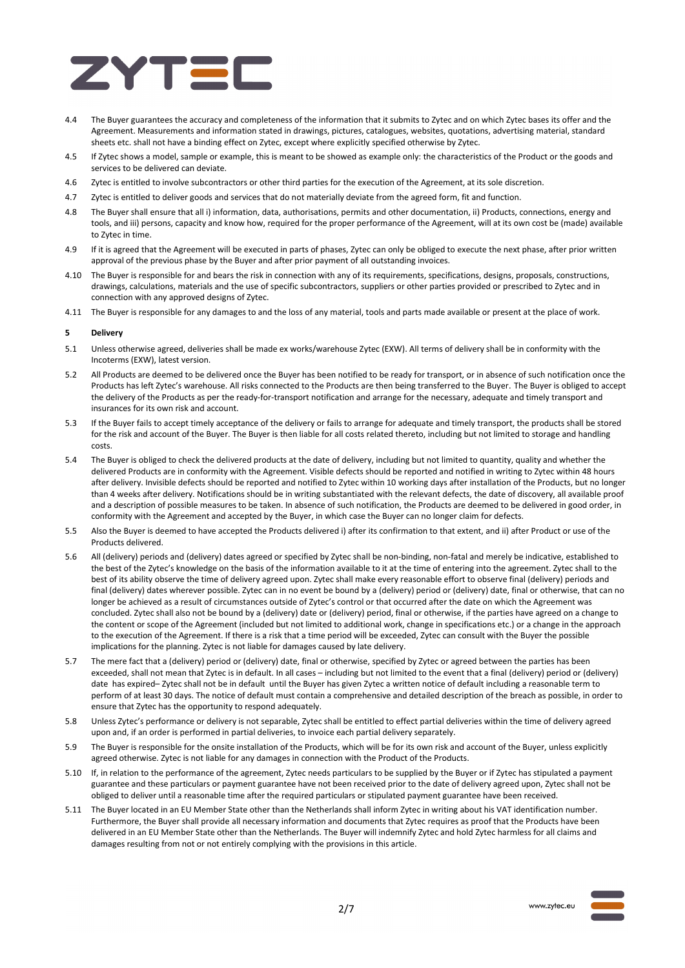

- 4.4 The Buyer guarantees the accuracy and completeness of the information that it submits to Zytec and on which Zytec bases its offer and the Agreement. Measurements and information stated in drawings, pictures, catalogues, websites, quotations, advertising material, standard sheets etc. shall not have a binding effect on Zytec, except where explicitly specified otherwise by Zytec.
- 4.5 If Zytec shows a model, sample or example, this is meant to be showed as example only: the characteristics of the Product or the goods and services to be delivered can deviate.
- 4.6 Zytec is entitled to involve subcontractors or other third parties for the execution of the Agreement, at its sole discretion.
- 4.7 Zytec is entitled to deliver goods and services that do not materially deviate from the agreed form, fit and function.
- 4.8 The Buyer shall ensure that all i) information, data, authorisations, permits and other documentation, ii) Products, connections, energy and tools, and iii) persons, capacity and know how, required for the proper performance of the Agreement, will at its own cost be (made) available to Zytec in time.
- 4.9 If it is agreed that the Agreement will be executed in parts of phases, Zytec can only be obliged to execute the next phase, after prior written approval of the previous phase by the Buyer and after prior payment of all outstanding invoices.
- 4.10 The Buyer is responsible for and bears the risk in connection with any of its requirements, specifications, designs, proposals, constructions, drawings, calculations, materials and the use of specific subcontractors, suppliers or other parties provided or prescribed to Zytec and in connection with any approved designs of Zytec.
- 4.11 The Buyer is responsible for any damages to and the loss of any material, tools and parts made available or present at the place of work.

# **5 Delivery**

- 5.1 Unless otherwise agreed, deliveries shall be made ex works/warehouse Zytec (EXW). All terms of delivery shall be in conformity with the Incoterms (EXW), latest version.
- 5.2 All Products are deemed to be delivered once the Buyer has been notified to be ready for transport, or in absence of such notification once the Products has left Zytec's warehouse. All risks connected to the Products are then being transferred to the Buyer. The Buyer is obliged to accept the delivery of the Products as per the ready-for-transport notification and arrange for the necessary, adequate and timely transport and insurances for its own risk and account.
- 5.3 If the Buyer fails to accept timely acceptance of the delivery or fails to arrange for adequate and timely transport, the products shall be stored for the risk and account of the Buyer. The Buyer is then liable for all costs related thereto, including but not limited to storage and handling costs.
- 5.4 The Buyer is obliged to check the delivered products at the date of delivery, including but not limited to quantity, quality and whether the delivered Products are in conformity with the Agreement. Visible defects should be reported and notified in writing to Zytec within 48 hours after delivery. Invisible defects should be reported and notified to Zytec within 10 working days after installation of the Products, but no longer than 4 weeks after delivery. Notifications should be in writing substantiated with the relevant defects, the date of discovery, all available proof and a description of possible measures to be taken. In absence of such notification, the Products are deemed to be delivered in good order, in conformity with the Agreement and accepted by the Buyer, in which case the Buyer can no longer claim for defects.
- 5.5 Also the Buyer is deemed to have accepted the Products delivered i) after its confirmation to that extent, and ii) after Product or use of the Products delivered.
- 5.6 All (delivery) periods and (delivery) dates agreed or specified by Zytec shall be non-binding, non-fatal and merely be indicative, established to the best of the Zytec's knowledge on the basis of the information available to it at the time of entering into the agreement. Zytec shall to the best of its ability observe the time of delivery agreed upon. Zytec shall make every reasonable effort to observe final (delivery) periods and final (delivery) dates wherever possible. Zytec can in no event be bound by a (delivery) period or (delivery) date, final or otherwise, that can no longer be achieved as a result of circumstances outside of Zytec's control or that occurred after the date on which the Agreement was concluded. Zytec shall also not be bound by a (delivery) date or (delivery) period, final or otherwise, if the parties have agreed on a change to the content or scope of the Agreement (included but not limited to additional work, change in specifications etc.) or a change in the approach to the execution of the Agreement. If there is a risk that a time period will be exceeded, Zytec can consult with the Buyer the possible implications for the planning. Zytec is not liable for damages caused by late delivery.
- 5.7 The mere fact that a (delivery) period or (delivery) date, final or otherwise, specified by Zytec or agreed between the parties has been exceeded, shall not mean that Zytec is in default. In all cases – including but not limited to the event that a final (delivery) period or (delivery) date has expired– Zytec shall not be in default until the Buyer has given Zytec a written notice of default including a reasonable term to perform of at least 30 days. The notice of default must contain a comprehensive and detailed description of the breach as possible, in order to ensure that Zytec has the opportunity to respond adequately.
- 5.8 Unless Zytec's performance or delivery is not separable, Zytec shall be entitled to effect partial deliveries within the time of delivery agreed upon and, if an order is performed in partial deliveries, to invoice each partial delivery separately.
- 5.9 The Buyer is responsible for the onsite installation of the Products, which will be for its own risk and account of the Buyer, unless explicitly agreed otherwise. Zytec is not liable for any damages in connection with the Product of the Products.
- 5.10 If, in relation to the performance of the agreement, Zytec needs particulars to be supplied by the Buyer or if Zytec has stipulated a payment guarantee and these particulars or payment guarantee have not been received prior to the date of delivery agreed upon, Zytec shall not be obliged to deliver until a reasonable time after the required particulars or stipulated payment guarantee have been received.
- 5.11 The Buyer located in an EU Member State other than the Netherlands shall inform Zytec in writing about his VAT identification number. Furthermore, the Buyer shall provide all necessary information and documents that Zytec requires as proof that the Products have been delivered in an EU Member State other than the Netherlands. The Buyer will indemnify Zytec and hold Zytec harmless for all claims and damages resulting from not or not entirely complying with the provisions in this article.

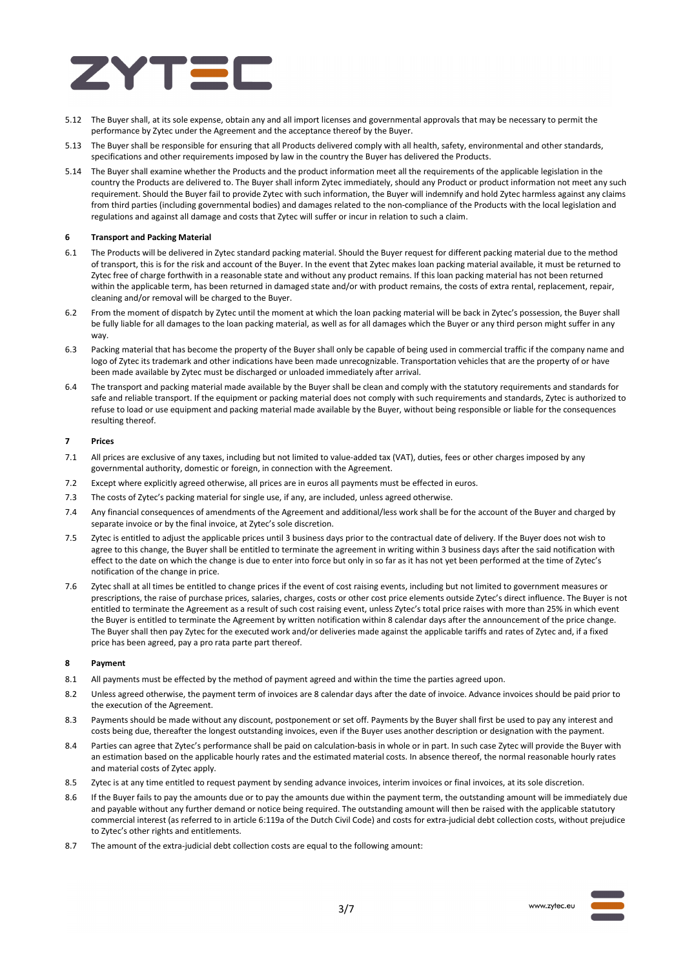

- 5.12 The Buyer shall, at its sole expense, obtain any and all import licenses and governmental approvals that may be necessary to permit the performance by Zytec under the Agreement and the acceptance thereof by the Buyer.
- 5.13 The Buyer shall be responsible for ensuring that all Products delivered comply with all health, safety, environmental and other standards, specifications and other requirements imposed by law in the country the Buyer has delivered the Products.
- 5.14 The Buyer shall examine whether the Products and the product information meet all the requirements of the applicable legislation in the country the Products are delivered to. The Buyer shall inform Zytec immediately, should any Product or product information not meet any such requirement. Should the Buyer fail to provide Zytec with such information, the Buyer will indemnify and hold Zytec harmless against any claims from third parties (including governmental bodies) and damages related to the non-compliance of the Products with the local legislation and regulations and against all damage and costs that Zytec will suffer or incur in relation to such a claim.

# **6 Transport and Packing Material**

- 6.1 The Products will be delivered in Zytec standard packing material. Should the Buyer request for different packing material due to the method of transport, this is for the risk and account of the Buyer. In the event that Zytec makes loan packing material available, it must be returned to Zytec free of charge forthwith in a reasonable state and without any product remains. If this loan packing material has not been returned within the applicable term, has been returned in damaged state and/or with product remains, the costs of extra rental, replacement, repair, cleaning and/or removal will be charged to the Buyer.
- 6.2 From the moment of dispatch by Zytec until the moment at which the loan packing material will be back in Zytec's possession, the Buyer shall be fully liable for all damages to the loan packing material, as well as for all damages which the Buyer or any third person might suffer in any way.
- 6.3 Packing material that has become the property of the Buyer shall only be capable of being used in commercial traffic if the company name and logo of Zytec its trademark and other indications have been made unrecognizable. Transportation vehicles that are the property of or have been made available by Zytec must be discharged or unloaded immediately after arrival.
- 6.4 The transport and packing material made available by the Buyer shall be clean and comply with the statutory requirements and standards for safe and reliable transport. If the equipment or packing material does not comply with such requirements and standards. Zytec is authorized to refuse to load or use equipment and packing material made available by the Buyer, without being responsible or liable for the consequences resulting thereof.

#### **7 Prices**

- 7.1 All prices are exclusive of any taxes, including but not limited to value-added tax (VAT), duties, fees or other charges imposed by any governmental authority, domestic or foreign, in connection with the Agreement.
- 7.2 Except where explicitly agreed otherwise, all prices are in euros all payments must be effected in euros.
- 7.3 The costs of Zytec's packing material for single use, if any, are included, unless agreed otherwise.
- 7.4 Any financial consequences of amendments of the Agreement and additional/less work shall be for the account of the Buyer and charged by separate invoice or by the final invoice, at Zytec's sole discretion.
- 7.5 Zytec is entitled to adjust the applicable prices until 3 business days prior to the contractual date of delivery. If the Buyer does not wish to agree to this change, the Buyer shall be entitled to terminate the agreement in writing within 3 business days after the said notification with effect to the date on which the change is due to enter into force but only in so far as it has not yet been performed at the time of Zytec's notification of the change in price.
- 7.6 Zytec shall at all times be entitled to change prices if the event of cost raising events, including but not limited to government measures or prescriptions, the raise of purchase prices, salaries, charges, costs or other cost price elements outside Zytec's direct influence. The Buyer is not entitled to terminate the Agreement as a result of such cost raising event, unless Zytec's total price raises with more than 25% in which event the Buyer is entitled to terminate the Agreement by written notification within 8 calendar days after the announcement of the price change. The Buyer shall then pay Zytec for the executed work and/or deliveries made against the applicable tariffs and rates of Zytec and, if a fixed price has been agreed, pay a pro rata parte part thereof.

# **8 Payment**

- 8.1 All payments must be effected by the method of payment agreed and within the time the parties agreed upon.
- 8.2 Unless agreed otherwise, the payment term of invoices are 8 calendar days after the date of invoice. Advance invoices should be paid prior to the execution of the Agreement.
- 8.3 Payments should be made without any discount, postponement or set off. Payments by the Buyer shall first be used to pay any interest and costs being due, thereafter the longest outstanding invoices, even if the Buyer uses another description or designation with the payment.
- 8.4 Parties can agree that Zytec's performance shall be paid on calculation-basis in whole or in part. In such case Zytec will provide the Buyer with an estimation based on the applicable hourly rates and the estimated material costs. In absence thereof, the normal reasonable hourly rates and material costs of Zytec apply.
- 8.5 Zytec is at any time entitled to request payment by sending advance invoices, interim invoices or final invoices, at its sole discretion.
- 8.6 If the Buyer fails to pay the amounts due or to pay the amounts due within the payment term, the outstanding amount will be immediately due and payable without any further demand or notice being required. The outstanding amount will then be raised with the applicable statutory commercial interest (as referred to in article 6:119a of the Dutch Civil Code) and costs for extra-judicial debt collection costs, without prejudice to Zytec's other rights and entitlements.
- 8.7 The amount of the extra-judicial debt collection costs are equal to the following amount:



www.zytec.eu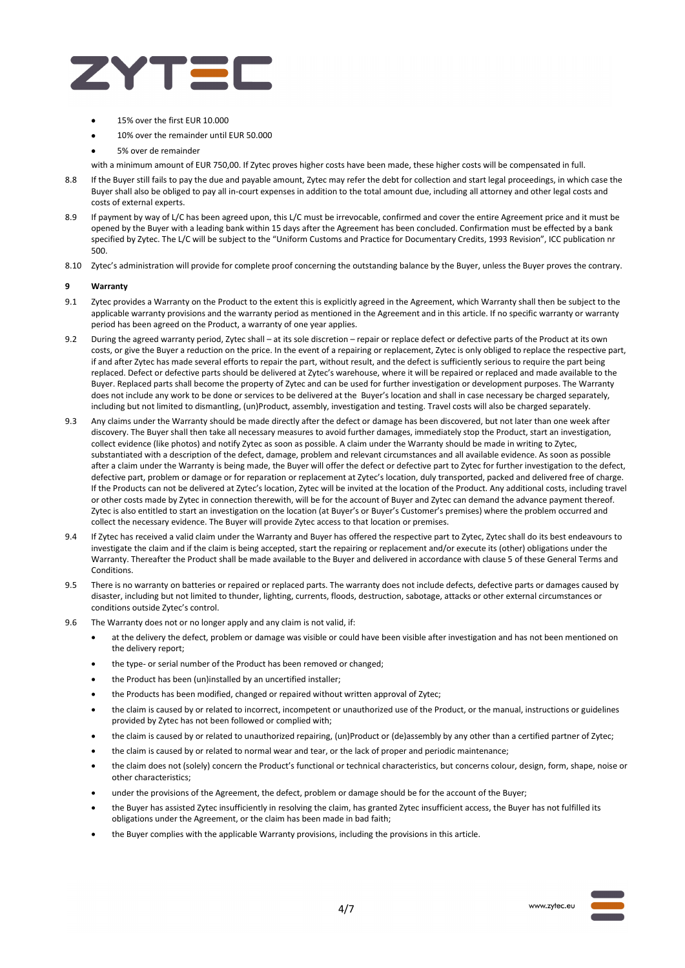

- 15% over the first EUR 10.000
- 10% over the remainder until EUR 50.000
- 5% over de remainder
- with a minimum amount of EUR 750,00. If Zytec proves higher costs have been made, these higher costs will be compensated in full.
- 8.8 If the Buyer still fails to pay the due and payable amount, Zytec may refer the debt for collection and start legal proceedings, in which case the Buyer shall also be obliged to pay all in-court expenses in addition to the total amount due, including all attorney and other legal costs and costs of external experts.
- 8.9 If payment by way of L/C has been agreed upon, this L/C must be irrevocable, confirmed and cover the entire Agreement price and it must be opened by the Buyer with a leading bank within 15 days after the Agreement has been concluded. Confirmation must be effected by a bank specified by Zytec. The L/C will be subject to the "Uniform Customs and Practice for Documentary Credits, 1993 Revision", ICC publication nr 500.
- 8.10 Zytec's administration will provide for complete proof concerning the outstanding balance by the Buyer, unless the Buyer proves the contrary.

#### **9 Warranty**

- 9.1 Zytec provides a Warranty on the Product to the extent this is explicitly agreed in the Agreement, which Warranty shall then be subject to the applicable warranty provisions and the warranty period as mentioned in the Agreement and in this article. If no specific warranty or warranty period has been agreed on the Product, a warranty of one year applies.
- 9.2 During the agreed warranty period, Zytec shall at its sole discretion repair or replace defect or defective parts of the Product at its own costs, or give the Buyer a reduction on the price. In the event of a repairing or replacement, Zytec is only obliged to replace the respective part, if and after Zytec has made several efforts to repair the part, without result, and the defect is sufficiently serious to require the part being replaced. Defect or defective parts should be delivered at Zytec's warehouse, where it will be repaired or replaced and made available to the Buyer. Replaced parts shall become the property of Zytec and can be used for further investigation or development purposes. The Warranty does not include any work to be done or services to be delivered at the Buyer's location and shall in case necessary be charged separately, including but not limited to dismantling, (un)Product, assembly, investigation and testing. Travel costs will also be charged separately.
- 9.3 Any claims under the Warranty should be made directly after the defect or damage has been discovered, but not later than one week after discovery. The Buyer shall then take all necessary measures to avoid further damages, immediately stop the Product, start an investigation, collect evidence (like photos) and notify Zytec as soon as possible. A claim under the Warranty should be made in writing to Zytec, substantiated with a description of the defect, damage, problem and relevant circumstances and all available evidence. As soon as possible after a claim under the Warranty is being made, the Buyer will offer the defect or defective part to Zytec for further investigation to the defect, defective part, problem or damage or for reparation or replacement at Zytec's location, duly transported, packed and delivered free of charge. If the Products can not be delivered at Zytec's location, Zytec will be invited at the location of the Product. Any additional costs, including travel or other costs made by Zytec in connection therewith, will be for the account of Buyer and Zytec can demand the advance payment thereof. Zytec is also entitled to start an investigation on the location (at Buyer's or Buyer's Customer's premises) where the problem occurred and collect the necessary evidence. The Buyer will provide Zytec access to that location or premises.
- 9.4 If Zytec has received a valid claim under the Warranty and Buyer has offered the respective part to Zytec, Zytec shall do its best endeavours to investigate the claim and if the claim is being accepted, start the repairing or replacement and/or execute its (other) obligations under the Warranty. Thereafter the Product shall be made available to the Buyer and delivered in accordance with clause 5 of these General Terms and Conditions.
- 9.5 There is no warranty on batteries or repaired or replaced parts. The warranty does not include defects, defective parts or damages caused by disaster, including but not limited to thunder, lighting, currents, floods, destruction, sabotage, attacks or other external circumstances or conditions outside Zytec's control.
- 9.6 The Warranty does not or no longer apply and any claim is not valid, if:
	- at the delivery the defect, problem or damage was visible or could have been visible after investigation and has not been mentioned on the delivery report;
		- the type- or serial number of the Product has been removed or changed;
		- the Product has been (un)installed by an uncertified installer;
		- the Products has been modified, changed or repaired without written approval of Zytec;
		- the claim is caused by or related to incorrect, incompetent or unauthorized use of the Product, or the manual, instructions or guidelines provided by Zytec has not been followed or complied with;
		- the claim is caused by or related to unauthorized repairing, (un)Product or (de)assembly by any other than a certified partner of Zytec;
		- the claim is caused by or related to normal wear and tear, or the lack of proper and periodic maintenance;
		- the claim does not (solely) concern the Product's functional or technical characteristics, but concerns colour, design, form, shape, noise or other characteristics;
		- under the provisions of the Agreement, the defect, problem or damage should be for the account of the Buyer;
		- the Buyer has assisted Zytec insufficiently in resolving the claim, has granted Zytec insufficient access, the Buyer has not fulfilled its obligations under the Agreement, or the claim has been made in bad faith;
		- the Buyer complies with the applicable Warranty provisions, including the provisions in this article.

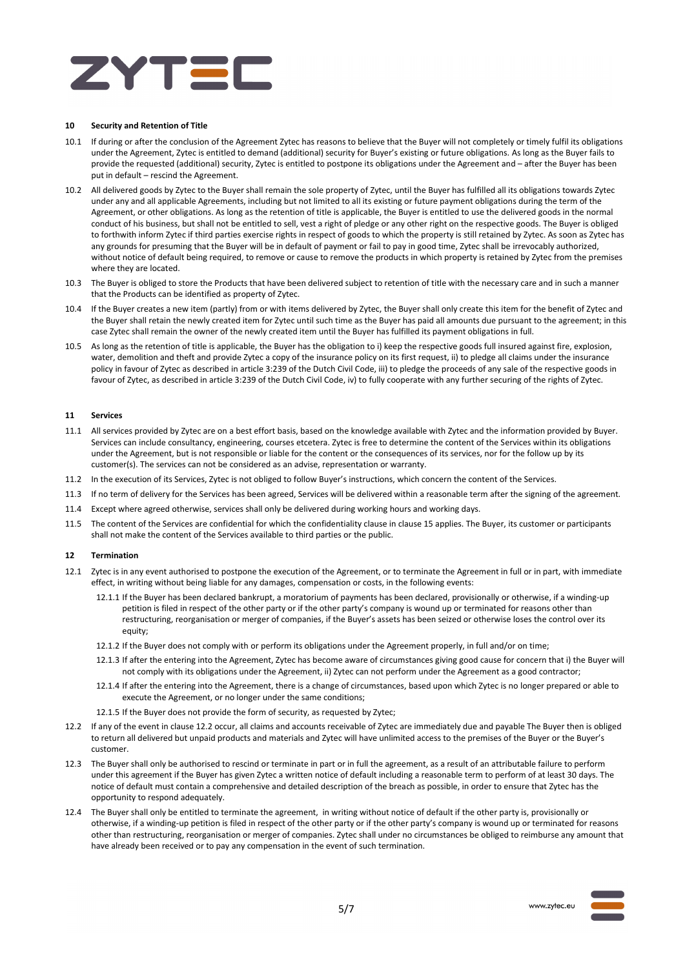

### **10 Security and Retention of Title**

- 10.1 If during or after the conclusion of the Agreement Zytec has reasons to believe that the Buyer will not completely or timely fulfil its obligations under the Agreement, Zytec is entitled to demand (additional) security for Buyer's existing or future obligations. As long as the Buyer fails to provide the requested (additional) security, Zytec is entitled to postpone its obligations under the Agreement and – after the Buyer has been put in default – rescind the Agreement.
- 10.2 All delivered goods by Zytec to the Buyer shall remain the sole property of Zytec, until the Buyer has fulfilled all its obligations towards Zytec under any and all applicable Agreements, including but not limited to all its existing or future payment obligations during the term of the Agreement, or other obligations. As long as the retention of title is applicable, the Buyer is entitled to use the delivered goods in the normal conduct of his business, but shall not be entitled to sell, vest a right of pledge or any other right on the respective goods. The Buyer is obliged to forthwith inform Zytec if third parties exercise rights in respect of goods to which the property is still retained by Zytec. As soon as Zytec has any grounds for presuming that the Buyer will be in default of payment or fail to pay in good time, Zytec shall be irrevocably authorized, without notice of default being required, to remove or cause to remove the products in which property is retained by Zytec from the premises where they are located.
- 10.3 The Buyer is obliged to store the Products that have been delivered subject to retention of title with the necessary care and in such a manner that the Products can be identified as property of Zytec.
- 10.4 If the Buyer creates a new item (partly) from or with items delivered by Zytec, the Buyer shall only create this item for the benefit of Zytec and the Buyer shall retain the newly created item for Zytec until such time as the Buyer has paid all amounts due pursuant to the agreement; in this case Zytec shall remain the owner of the newly created item until the Buyer has fulfilled its payment obligations in full.
- 10.5 As long as the retention of title is applicable, the Buyer has the obligation to i) keep the respective goods full insured against fire, explosion, water, demolition and theft and provide Zytec a copy of the insurance policy on its first request, ii) to pledge all claims under the insurance policy in favour of Zytec as described in article 3:239 of the Dutch Civil Code, iii) to pledge the proceeds of any sale of the respective goods in favour of Zytec, as described in article 3:239 of the Dutch Civil Code, iv) to fully cooperate with any further securing of the rights of Zytec.

# **11 Services**

- 11.1 All services provided by Zytec are on a best effort basis, based on the knowledge available with Zytec and the information provided by Buyer. Services can include consultancy, engineering, courses etcetera. Zytec is free to determine the content of the Services within its obligations under the Agreement, but is not responsible or liable for the content or the consequences of its services, nor for the follow up by its customer(s). The services can not be considered as an advise, representation or warranty.
- 11.2 In the execution of its Services, Zytec is not obliged to follow Buyer's instructions, which concern the content of the Services.
- 11.3 If no term of delivery for the Services has been agreed, Services will be delivered within a reasonable term after the signing of the agreement.
- 11.4 Except where agreed otherwise, services shall only be delivered during working hours and working days.
- 11.5 The content of the Services are confidential for which the confidentiality clause in clause 15 applies. The Buyer, its customer or participants shall not make the content of the Services available to third parties or the public.

#### **12 Termination**

- 12.1 Zytec is in any event authorised to postpone the execution of the Agreement, or to terminate the Agreement in full or in part, with immediate effect, in writing without being liable for any damages, compensation or costs, in the following events:
	- 12.1.1 If the Buyer has been declared bankrupt, a moratorium of payments has been declared, provisionally or otherwise, if a winding-up petition is filed in respect of the other party or if the other party's company is wound up or terminated for reasons other than restructuring, reorganisation or merger of companies, if the Buyer's assets has been seized or otherwise loses the control over its equity;
	- 12.1.2 If the Buyer does not comply with or perform its obligations under the Agreement properly, in full and/or on time;
	- 12.1.3 If after the entering into the Agreement, Zytec has become aware of circumstances giving good cause for concern that i) the Buyer will not comply with its obligations under the Agreement, ii) Zytec can not perform under the Agreement as a good contractor;
	- 12.1.4 If after the entering into the Agreement, there is a change of circumstances, based upon which Zytec is no longer prepared or able to execute the Agreement, or no longer under the same conditions;
	- 12.1.5 If the Buyer does not provide the form of security, as requested by Zytec;
- 12.2 If any of the event in clause 12.2 occur, all claims and accounts receivable of Zytec are immediately due and payable The Buyer then is obliged to return all delivered but unpaid products and materials and Zytec will have unlimited access to the premises of the Buyer or the Buyer's customer.
- 12.3 The Buyer shall only be authorised to rescind or terminate in part or in full the agreement, as a result of an attributable failure to perform under this agreement if the Buyer has given Zytec a written notice of default including a reasonable term to perform of at least 30 days. The notice of default must contain a comprehensive and detailed description of the breach as possible, in order to ensure that Zytec has the opportunity to respond adequately.
- 12.4 The Buyer shall only be entitled to terminate the agreement, in writing without notice of default if the other party is, provisionally or otherwise, if a winding-up petition is filed in respect of the other party or if the other party's company is wound up or terminated for reasons other than restructuring, reorganisation or merger of companies. Zytec shall under no circumstances be obliged to reimburse any amount that have already been received or to pay any compensation in the event of such termination.

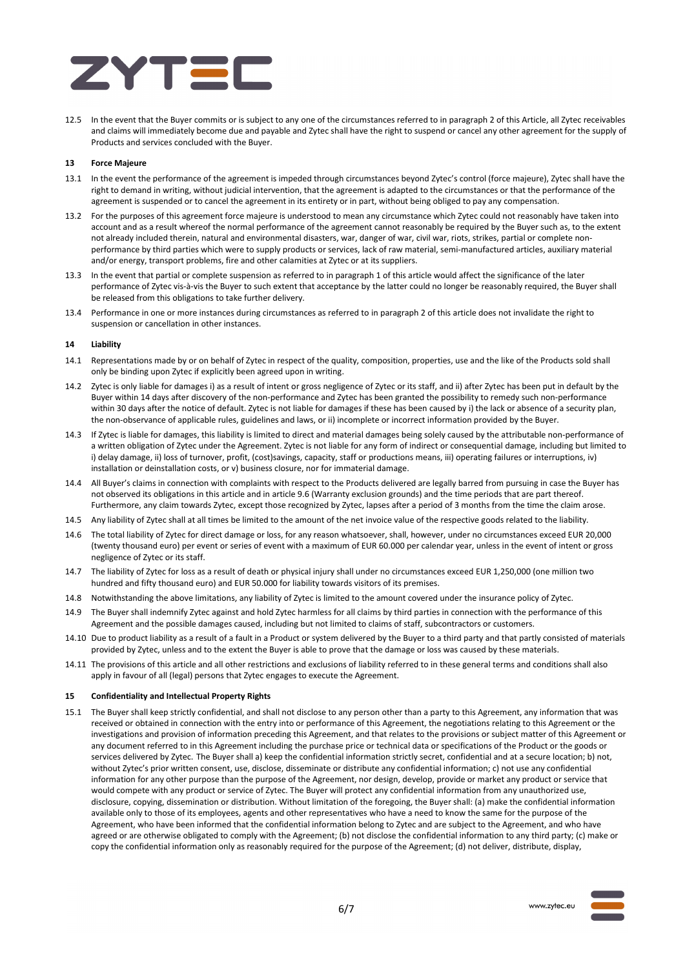

12.5 In the event that the Buyer commits or is subject to any one of the circumstances referred to in paragraph 2 of this Article, all Zytec receivables and claims will immediately become due and payable and Zytec shall have the right to suspend or cancel any other agreement for the supply of Products and services concluded with the Buyer.

# **13 Force Majeure**

- 13.1 In the event the performance of the agreement is impeded through circumstances beyond Zytec's control (force majeure), Zytec shall have the right to demand in writing, without judicial intervention, that the agreement is adapted to the circumstances or that the performance of the agreement is suspended or to cancel the agreement in its entirety or in part, without being obliged to pay any compensation.
- 13.2 For the purposes of this agreement force majeure is understood to mean any circumstance which Zytec could not reasonably have taken into account and as a result whereof the normal performance of the agreement cannot reasonably be required by the Buyer such as, to the extent not already included therein, natural and environmental disasters, war, danger of war, civil war, riots, strikes, partial or complete nonperformance by third parties which were to supply products or services, lack of raw material, semi-manufactured articles, auxiliary material and/or energy, transport problems, fire and other calamities at Zytec or at its suppliers.
- 13.3 In the event that partial or complete suspension as referred to in paragraph 1 of this article would affect the significance of the later performance of Zytec vis-à-vis the Buyer to such extent that acceptance by the latter could no longer be reasonably required, the Buyer shall be released from this obligations to take further delivery.
- 13.4 Performance in one or more instances during circumstances as referred to in paragraph 2 of this article does not invalidate the right to suspension or cancellation in other instances.

# **14 Liability**

- 14.1 Representations made by or on behalf of Zytec in respect of the quality, composition, properties, use and the like of the Products sold shall only be binding upon Zytec if explicitly been agreed upon in writing.
- 14.2 Zytec is only liable for damages i) as a result of intent or gross negligence of Zytec or its staff, and ii) after Zytec has been put in default by the Buyer within 14 days after discovery of the non-performance and Zytec has been granted the possibility to remedy such non-performance within 30 days after the notice of default. Zytec is not liable for damages if these has been caused by i) the lack or absence of a security plan, the non-observance of applicable rules, guidelines and laws, or ii) incomplete or incorrect information provided by the Buyer.
- 14.3 If Zytec is liable for damages, this liability is limited to direct and material damages being solely caused by the attributable non-performance of a written obligation of Zytec under the Agreement. Zytec is not liable for any form of indirect or consequential damage, including but limited to i) delay damage, ii) loss of turnover, profit, (cost)savings, capacity, staff or productions means, iii) operating failures or interruptions, iv) installation or deinstallation costs, or v) business closure, nor for immaterial damage.
- 14.4 All Buyer's claims in connection with complaints with respect to the Products delivered are legally barred from pursuing in case the Buyer has not observed its obligations in this article and in article 9.6 (Warranty exclusion grounds) and the time periods that are part thereof. Furthermore, any claim towards Zytec, except those recognized by Zytec, lapses after a period of 3 months from the time the claim arose.
- 14.5 Any liability of Zytec shall at all times be limited to the amount of the net invoice value of the respective goods related to the liability.
- 14.6 The total liability of Zytec for direct damage or loss, for any reason whatsoever, shall, however, under no circumstances exceed EUR 20,000 (twenty thousand euro) per event or series of event with a maximum of EUR 60.000 per calendar year, unless in the event of intent or gross negligence of Zytec or its staff.
- 14.7 The liability of Zytec for loss as a result of death or physical injury shall under no circumstances exceed EUR 1,250,000 (one million two hundred and fifty thousand euro) and EUR 50.000 for liability towards visitors of its premises.
- 14.8 Notwithstanding the above limitations, any liability of Zytec is limited to the amount covered under the insurance policy of Zytec.
- 14.9 The Buyer shall indemnify Zytec against and hold Zytec harmless for all claims by third parties in connection with the performance of this Agreement and the possible damages caused, including but not limited to claims of staff, subcontractors or customers.
- 14.10 Due to product liability as a result of a fault in a Product or system delivered by the Buyer to a third party and that partly consisted of materials provided by Zytec, unless and to the extent the Buyer is able to prove that the damage or loss was caused by these materials.
- 14.11 The provisions of this article and all other restrictions and exclusions of liability referred to in these general terms and conditions shall also apply in favour of all (legal) persons that Zytec engages to execute the Agreement.

#### **15 Confidentiality and Intellectual Property Rights**

15.1 The Buyer shall keep strictly confidential, and shall not disclose to any person other than a party to this Agreement, any information that was received or obtained in connection with the entry into or performance of this Agreement, the negotiations relating to this Agreement or the investigations and provision of information preceding this Agreement, and that relates to the provisions or subject matter of this Agreement or any document referred to in this Agreement including the purchase price or technical data or specifications of the Product or the goods or services delivered by Zytec. The Buyer shall a) keep the confidential information strictly secret, confidential and at a secure location; b) not, without Zytec's prior written consent, use, disclose, disseminate or distribute any confidential information; c) not use any confidential information for any other purpose than the purpose of the Agreement, nor design, develop, provide or market any product or service that would compete with any product or service of Zytec. The Buyer will protect any confidential information from any unauthorized use, disclosure, copying, dissemination or distribution. Without limitation of the foregoing, the Buyer shall: (a) make the confidential information available only to those of its employees, agents and other representatives who have a need to know the same for the purpose of the Agreement, who have been informed that the confidential information belong to Zytec and are subject to the Agreement, and who have agreed or are otherwise obligated to comply with the Agreement; (b) not disclose the confidential information to any third party; (c) make or copy the confidential information only as reasonably required for the purpose of the Agreement; (d) not deliver, distribute, display,